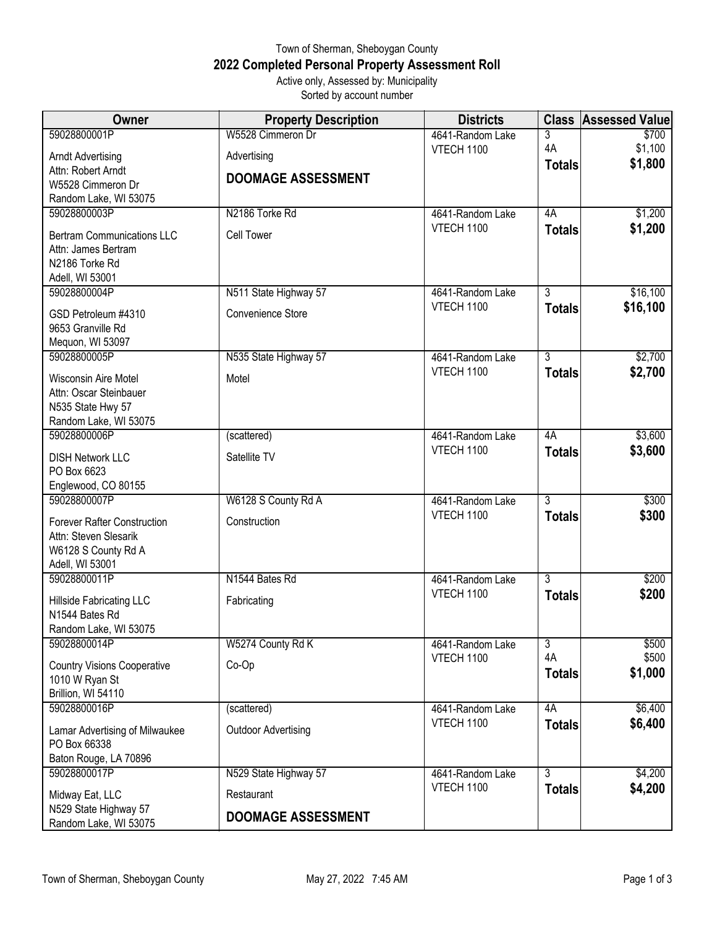## Town of Sherman, Sheboygan County **2022 Completed Personal Property Assessment Roll** Active only, Assessed by: Municipality

Sorted by account number

| Owner                                                                                                 | <b>Property Description</b> | <b>Districts</b>  | <b>Class</b>        | <b>Assessed Value</b> |
|-------------------------------------------------------------------------------------------------------|-----------------------------|-------------------|---------------------|-----------------------|
| 59028800001P                                                                                          | W5528 Cimmeron Dr           | 4641-Random Lake  | 3                   | \$700                 |
| <b>Arndt Advertising</b>                                                                              | Advertising                 | <b>VTECH 1100</b> | 4A<br><b>Totals</b> | \$1,100<br>\$1,800    |
| Attn: Robert Arndt                                                                                    | <b>DOOMAGE ASSESSMENT</b>   |                   |                     |                       |
| W5528 Cimmeron Dr<br>Random Lake, WI 53075                                                            |                             |                   |                     |                       |
| 59028800003P                                                                                          | N2186 Torke Rd              | 4641-Random Lake  | 4A                  | \$1,200               |
| <b>Bertram Communications LLC</b><br>Attn: James Bertram<br>N2186 Torke Rd<br>Adell, WI 53001         | <b>Cell Tower</b>           | <b>VTECH 1100</b> | <b>Totals</b>       | \$1,200               |
| 59028800004P                                                                                          | N511 State Highway 57       | 4641-Random Lake  | $\overline{3}$      | \$16,100              |
| GSD Petroleum #4310<br>9653 Granville Rd<br>Mequon, WI 53097                                          | Convenience Store           | VTECH 1100        | <b>Totals</b>       | \$16,100              |
| 59028800005P                                                                                          | N535 State Highway 57       | 4641-Random Lake  | 3                   | \$2,700               |
| Wisconsin Aire Motel<br>Attn: Oscar Steinbauer<br>N535 State Hwy 57<br>Random Lake, WI 53075          | Motel                       | <b>VTECH 1100</b> | <b>Totals</b>       | \$2,700               |
| 59028800006P                                                                                          | (scattered)                 | 4641-Random Lake  | 4A                  | \$3,600               |
| <b>DISH Network LLC</b><br>PO Box 6623<br>Englewood, CO 80155                                         | Satellite TV                | <b>VTECH 1100</b> | <b>Totals</b>       | \$3,600               |
| 59028800007P                                                                                          | W6128 S County Rd A         | 4641-Random Lake  | 3                   | \$300                 |
| <b>Forever Rafter Construction</b><br>Attn: Steven Slesarik<br>W6128 S County Rd A<br>Adell, WI 53001 | Construction                | VTECH 1100        | <b>Totals</b>       | \$300                 |
| 59028800011P                                                                                          | N1544 Bates Rd              | 4641-Random Lake  | $\overline{3}$      | \$200                 |
| <b>Hillside Fabricating LLC</b><br>N1544 Bates Rd<br>Random Lake, WI 53075                            | Fabricating                 | VTECH 1100        | <b>Totals</b>       | \$200                 |
| 59028800014P                                                                                          | W5274 County Rd K           | 4641-Random Lake  | $\overline{3}$      | \$500                 |
| <b>Country Visions Cooperative</b><br>1010 W Ryan St<br>Brillion, WI 54110                            | $Co-Op$                     | VTECH 1100        | 4A<br><b>Totals</b> | \$500<br>\$1,000      |
| 59028800016P                                                                                          | (scattered)                 | 4641-Random Lake  | 4A                  | \$6,400               |
| Lamar Advertising of Milwaukee<br>PO Box 66338<br>Baton Rouge, LA 70896                               | <b>Outdoor Advertising</b>  | VTECH 1100        | <b>Totals</b>       | \$6,400               |
| 59028800017P                                                                                          | N529 State Highway 57       | 4641-Random Lake  | 3                   | \$4,200               |
| Midway Eat, LLC                                                                                       | Restaurant                  | VTECH 1100        | <b>Totals</b>       | \$4,200               |
| N529 State Highway 57<br>Random Lake, WI 53075                                                        | <b>DOOMAGE ASSESSMENT</b>   |                   |                     |                       |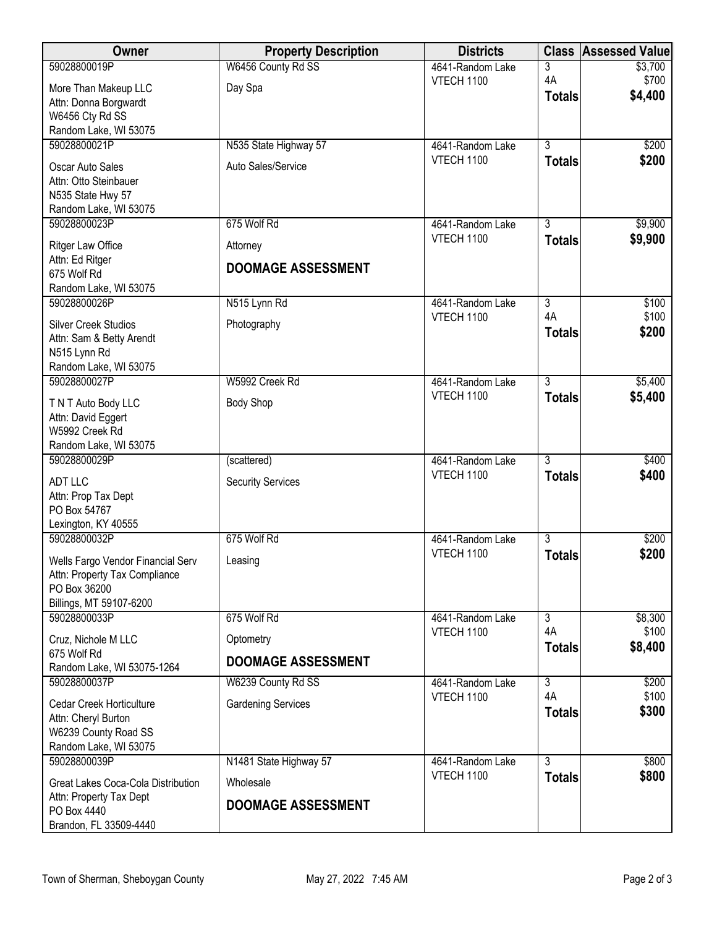| <b>Owner</b>                                                       | <b>Property Description</b> | <b>Districts</b>                      | <b>Class</b>                    | <b>Assessed Value</b> |
|--------------------------------------------------------------------|-----------------------------|---------------------------------------|---------------------------------|-----------------------|
| 59028800019P                                                       | W6456 County Rd SS          | 4641-Random Lake                      | 3                               | \$3,700               |
| More Than Makeup LLC                                               | Day Spa                     | <b>VTECH 1100</b>                     | 4A                              | \$700<br>\$4,400      |
| Attn: Donna Borgwardt                                              |                             |                                       | <b>Totals</b>                   |                       |
| W6456 Cty Rd SS<br>Random Lake, WI 53075                           |                             |                                       |                                 |                       |
| 59028800021P                                                       | N535 State Highway 57       | 4641-Random Lake                      | $\overline{3}$                  | \$200                 |
| Oscar Auto Sales                                                   | Auto Sales/Service          | <b>VTECH 1100</b>                     | <b>Totals</b>                   | \$200                 |
| Attn: Otto Steinbauer                                              |                             |                                       |                                 |                       |
| N535 State Hwy 57                                                  |                             |                                       |                                 |                       |
| Random Lake, WI 53075                                              |                             |                                       |                                 |                       |
| 59028800023P                                                       | 675 Wolf Rd                 | 4641-Random Lake                      | 3                               | \$9,900               |
| Ritger Law Office                                                  | Attorney                    | <b>VTECH 1100</b>                     | <b>Totals</b>                   | \$9,900               |
| Attn: Ed Ritger                                                    | <b>DOOMAGE ASSESSMENT</b>   |                                       |                                 |                       |
| 675 Wolf Rd<br>Random Lake, WI 53075                               |                             |                                       |                                 |                       |
| 59028800026P                                                       | N515 Lynn Rd                | 4641-Random Lake                      | $\overline{3}$                  | \$100                 |
| <b>Silver Creek Studios</b>                                        | Photography                 | <b>VTECH 1100</b>                     | 4A                              | \$100                 |
| Attn: Sam & Betty Arendt                                           |                             |                                       | <b>Totals</b>                   | \$200                 |
| N515 Lynn Rd                                                       |                             |                                       |                                 |                       |
| Random Lake, WI 53075                                              |                             |                                       |                                 |                       |
| 59028800027P                                                       | W5992 Creek Rd              | 4641-Random Lake<br><b>VTECH 1100</b> | $\overline{3}$<br><b>Totals</b> | \$5,400<br>\$5,400    |
| T N T Auto Body LLC                                                | <b>Body Shop</b>            |                                       |                                 |                       |
| Attn: David Eggert<br>W5992 Creek Rd                               |                             |                                       |                                 |                       |
| Random Lake, WI 53075                                              |                             |                                       |                                 |                       |
| 59028800029P                                                       | (scattered)                 | 4641-Random Lake                      | $\overline{3}$                  | \$400                 |
| ADT LLC                                                            | <b>Security Services</b>    | <b>VTECH 1100</b>                     | <b>Totals</b>                   | \$400                 |
| Attn: Prop Tax Dept                                                |                             |                                       |                                 |                       |
| PO Box 54767                                                       |                             |                                       |                                 |                       |
| Lexington, KY 40555<br>59028800032P                                | 675 Wolf Rd                 | 4641-Random Lake                      | $\overline{3}$                  | \$200                 |
|                                                                    |                             | <b>VTECH 1100</b>                     | <b>Totals</b>                   | \$200                 |
| Wells Fargo Vendor Financial Serv<br>Attn: Property Tax Compliance | Leasing                     |                                       |                                 |                       |
| PO Box 36200                                                       |                             |                                       |                                 |                       |
| Billings, MT 59107-6200                                            |                             |                                       |                                 |                       |
| 59028800033P                                                       | 675 Wolf Rd                 | 4641-Random Lake                      | $\overline{3}$                  | \$8,300               |
| Cruz, Nichole M LLC                                                | Optometry                   | <b>VTECH 1100</b>                     | 4A<br><b>Totals</b>             | \$100<br>\$8,400      |
| 675 Wolf Rd                                                        | <b>DOOMAGE ASSESSMENT</b>   |                                       |                                 |                       |
| Random Lake, WI 53075-1264<br>59028800037P                         | W6239 County Rd SS          | 4641-Random Lake                      | 3                               | \$200                 |
| <b>Cedar Creek Horticulture</b>                                    | <b>Gardening Services</b>   | <b>VTECH 1100</b>                     | 4A                              | \$100                 |
| Attn: Cheryl Burton                                                |                             |                                       | <b>Totals</b>                   | \$300                 |
| W6239 County Road SS                                               |                             |                                       |                                 |                       |
| Random Lake, WI 53075                                              |                             |                                       |                                 |                       |
| 59028800039P                                                       | N1481 State Highway 57      | 4641-Random Lake                      | $\overline{3}$                  | \$800                 |
| Great Lakes Coca-Cola Distribution                                 | Wholesale                   | <b>VTECH 1100</b>                     | <b>Totals</b>                   | \$800                 |
| Attn: Property Tax Dept<br>PO Box 4440                             | <b>DOOMAGE ASSESSMENT</b>   |                                       |                                 |                       |
| Brandon, FL 33509-4440                                             |                             |                                       |                                 |                       |